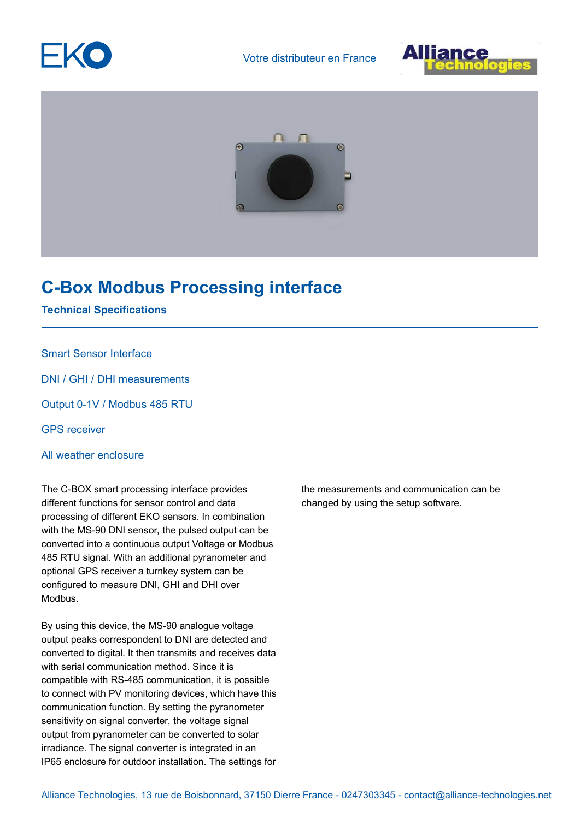





## **C-Box Modbus Processing interface**

## **Technical Specifications**

## Smart Sensor Interface

DNI / GHI / DHI measurements

Output 0-1V / Modbus 485 RTU

GPS receiver

All weather enclosure

The C-BOX smart processing interface provides different functions for sensor control and data processing of different EKO sensors. In combination with the MS-90 DNI sensor, the pulsed output can be converted into a continuous output Voltage or Modbus 485 RTU signal. With an additional pyranometer and optional GPS receiver a turnkey system can be configured to measure DNI, GHI and DHI over Modbus.

By using this device, the MS-90 analogue voltage output peaks correspondent to DNI are detected and converted to digital. It then transmits and receives data with serial communication method. Since it is compatible with RS-485 communication, it is possible to connect with PV monitoring devices, which have this communication function. By setting the pyranometer sensitivity on signal converter, the voltage signal output from pyranometer can be converted to solar irradiance. The signal converter is integrated in an IP65 enclosure for outdoor installation. The settings for the measurements and communication can be changed by using the setup software.